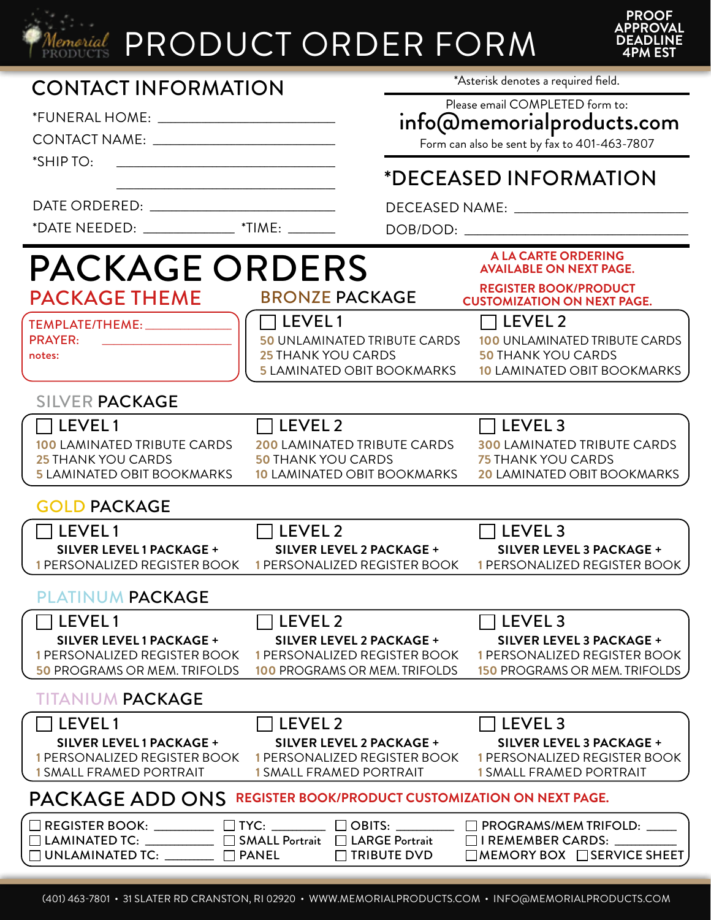

## Memorial PRODUCT ORDER FORM



| <b>CONTACT INFORMATION</b>                                                                                                                   |                                                                 | *Asterisk denotes a required field.                          |                                                                        |  |
|----------------------------------------------------------------------------------------------------------------------------------------------|-----------------------------------------------------------------|--------------------------------------------------------------|------------------------------------------------------------------------|--|
|                                                                                                                                              |                                                                 | Please email COMPLETED form to:<br>info@memorialproducts.com |                                                                        |  |
|                                                                                                                                              |                                                                 |                                                              | Form can also be sent by fax to 401-463-7807                           |  |
| *SHIP TO:                                                                                                                                    |                                                                 |                                                              | *DECEASED INFORMATION                                                  |  |
|                                                                                                                                              |                                                                 |                                                              |                                                                        |  |
| *DATE NEEDED: ________________ *TIME: _______                                                                                                |                                                                 |                                                              |                                                                        |  |
| <b>PACKAGE ORDERS</b>                                                                                                                        |                                                                 |                                                              | <b>A LA CARTE ORDERING</b><br><b>AVAILABLE ON NEXT PAGE.</b>           |  |
| <b>PACKAGE THEME</b>                                                                                                                         | <b>BRONZE PACKAGE</b>                                           |                                                              | <b>REGISTER BOOK/PRODUCT</b><br><b>CUSTOMIZATION ON NEXT PAGE.</b>     |  |
| TEMPLATE/THEME: ____________                                                                                                                 | $\Box$ LEVEL 1                                                  |                                                              | $\sqcap$ LEVEL 2                                                       |  |
| <b>PRAYER:</b><br>notes:                                                                                                                     | <b>50 UNLAMINATED TRIBUTE CARDS</b><br>25 THANK YOU CARDS       |                                                              | <b>100 UNLAMINATED TRIBUTE CARDS</b><br><b>50 THANK YOU CARDS</b>      |  |
|                                                                                                                                              | <b>5 LAMINATED OBIT BOOKMARKS</b>                               |                                                              | <b>10 LAMINATED OBIT BOOKMARKS</b>                                     |  |
| <b>SILVER PACKAGE</b>                                                                                                                        |                                                                 |                                                              |                                                                        |  |
| $\Box$ LEVEL 1                                                                                                                               | $\Box$ LEVEL 2                                                  |                                                              | $\Box$ LEVEL 3                                                         |  |
| <b>100 LAMINATED TRIBUTE CARDS</b><br>25 THANK YOU CARDS                                                                                     | <b>200 LAMINATED TRIBUTE CARDS</b><br><b>50 THANK YOU CARDS</b> |                                                              | <b>300 LAMINATED TRIBUTE CARDS</b><br><b>75 THANK YOU CARDS</b>        |  |
| <b>5 LAMINATED OBIT BOOKMARKS</b>                                                                                                            | <b>10 LAMINATED OBIT BOOKMARKS</b>                              |                                                              | <b>20 LAMINATED OBIT BOOKMARKS</b>                                     |  |
| <b>GOLD PACKAGE</b>                                                                                                                          |                                                                 |                                                              |                                                                        |  |
| l LEVEL 1                                                                                                                                    | $\Box$ LEVEL 2                                                  |                                                              | $\Box$ LEVEL 3                                                         |  |
| SILVER LEVEL 1 PACKAGE +<br>1 PERSONALIZED REGISTER BOOK                                                                                     | SILVER LEVEL 2 PACKAGE +<br>1 PERSONALIZED REGISTER BOOK        |                                                              | <b>SILVER LEVEL 3 PACKAGE +</b><br>1 PERSONALIZED REGISTER BOOK        |  |
| PLATINUM PACKAGE                                                                                                                             |                                                                 |                                                              |                                                                        |  |
| LEVEL1                                                                                                                                       | $\top$ LEVEL 2                                                  |                                                              | $\sqcap$ LEVEL 3                                                       |  |
| SILVER LEVEL 1 PACKAGE +<br>1 PERSONALIZED REGISTER BOOK                                                                                     | SILVER LEVEL 2 PACKAGE +<br>1 PERSONALIZED REGISTER BOOK        |                                                              | SILVER LEVEL 3 PACKAGE +<br>1 PERSONALIZED REGISTER BOOK               |  |
| <b>50 PROGRAMS OR MEM. TRIFOLDS</b>                                                                                                          | <b>100 PROGRAMS OR MEM. TRIFOLDS</b>                            |                                                              | <b>150 PROGRAMS OR MEM. TRIFOLDS</b>                                   |  |
| <b>TITANIUM PACKAGE</b>                                                                                                                      |                                                                 |                                                              |                                                                        |  |
| $\sqcap$ LEVEL 1                                                                                                                             | $\sqcap$ LEVEL 2                                                |                                                              | $\Box$ LEVEL 3                                                         |  |
| SILVER LEVEL 1 PACKAGE +<br>1 PERSONALIZED REGISTER BOOK                                                                                     | SILVER LEVEL 2 PACKAGE +<br>1 PERSONALIZED REGISTER BOOK        |                                                              | SILVER LEVEL 3 PACKAGE +<br>1 PERSONALIZED REGISTER BOOK               |  |
| <b>1 SMALL FRAMED PORTRAIT</b>                                                                                                               | <b>1 SMALL FRAMED PORTRAIT</b>                                  |                                                              | <b>1 SMALL FRAMED PORTRAIT</b>                                         |  |
| PACKAGE ADD ONS REGISTER BOOK/PRODUCT CUSTOMIZATION ON NEXT PAGE.                                                                            |                                                                 |                                                              |                                                                        |  |
| $\Box$ REGISTER BOOK: __________ $\Box$ TYC: ________ $\Box$ OBITS: ________<br>□ LAMINATED TC: __________ □ SMALL Portrait □ LARGE Portrait |                                                                 |                                                              | $\Box$ PROGRAMS/MEM TRIFOLD: $\Box$<br>$\Box$ I REMEMBER CARDS: $\Box$ |  |
| $\Box$ UNLAMINATED TC: _______ $\Box$ PANEL                                                                                                  |                                                                 | $\Box$ TRIBUTE DVD                                           | $\Box$ MEMORY BOX $\Box$ SERVICE SHEET                                 |  |